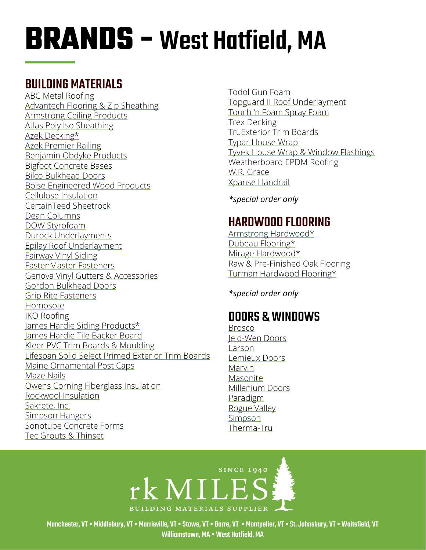### BUILDING MATERIALS

[ABC Metal Roofing](https://www.abcmetalroofing.com/Default.aspx) [Advantech Flooring & Zip Sheathing](https://www.huberwood.com/) [Armstrong Ceiling Products](http://www.armstrongceilings.com/residential/en-us/) [Atlas Poly Iso Sheathing](http://www.atlasroofing.com/general2.php?section_url=2) [Azek Decking](https://www.timbertech.com/azek-decking)\* [Azek Premier Railing](https://www.timbertech.com/azek-railing) [Benjamin Obdyke Products](http://www.benjaminobdyke.com/) [Bigfoot Concrete Bases](http://www.bigfootsystems.com/) [Bilco Bulkhead Doors](https://www.bilco.com/) [Boise Engineered Wood Products](https://www.bc.com/ewp/) [Cellulose Insulation](https://www.greenfiber.com/) CertainTeed Sheetrock [Dean Columns](http://www.deancolumn.com/) [DOW Styrofoam](http://building.dow.com/na/en/products/insulation/rigidfoam.htm) [Durock Underlayments](http://www.usg.com/durock-cement-board.html) [Epilay Roof Underlayment](https://www.epilay.com/synthetic-roofing-underlayment/) [Fairway Vinyl Siding](https://www.fairwaywholesale.com/fairway) [FastenMaster Fasteners](https://www.fastenmaster.com/) [Genova Vinyl Gutters & Accessories](https://www.genovaproducts.com/gutter.html) [Gordon Bulkhead Doors](http://www.gordoncelladoor.com/) [Grip Rite Fasteners](https://www.grip-rite.com/products/us-en-products/fasteners/) [Homosote](http://www.homasote.com/) [IKO Roofing](http://www.iko.com/us/) [James Hardie Siding Products\\*](http://www.jameshardie.com/homeowner/siding.shtml) [James Hardie Tile Backer Board](https://www.jameshardie.com/products/hardiebacker-cement-board) [Kleer PVC Trim Boards & Moulding](https://kleerlumber.com/) [Lifespan Solid Select Primed Exterior Trim Boards](http://www.lifespansolidselect.com/) [Maine Ornamental Post Caps](https://www.deckorators.com/products/post-caps/) [Maze Nails](https://www.mazenails.com/) [Owens Corning Fiberglass Insulation](https://www.owenscorning.com/insulation) [Rockwool Insulation](https://www.rockwool.com/) [Sakrete, Inc.](http://www.sakrete.com/) [Simpson Hangers](http://www.strongtie.com/) [Sonotube Concrete Forms](http://sonotube.com/products/sonotubeconcreteforms.aspx) [Tec Grouts & Thinset](https://www.tecspecialty.com/)

[Todol Gun Foam](http://www.todol.com/) [Topguard II Roof Underlaymen](http://www.rooftopguard.com/en/home.html)t [Touch 'n Foam Spray Foam](http://www.touch-n-foam.com/index.php) [Trex Decking](http://www.trex.com/) [TruExterior Trim Boards](https://boralamerica.com/) [Typar House Wrap](http://www.typar.com/products/typar-buildingwrap/) [Tyvek House Wrap & Window Flashings](https://www.dupont.com/products/tyvek-homewrap-superior-house-wrap.html) [Weatherboard EPDM Roofing](https://www.epdmcoatings.com/?gclid=CImT5e_Ql7MCFcRa4Aodq24AJQ) [W.R. Grace](http://www.grace.com/) [Xpanse Handrail](https://www.xpansegreateroutdoors.com/products/rail/)

*\*special order only*

## HARDWOOD FLOORING

[Armstrong Hardwood\\*](https://www.armstrongflooring.com/residential/en-us/flooring-installation-advice/articles-videos/how-to-choose-the-best-plank-floor.html) [Dubeau Flooring\\*](https://dubeaufloors.com/) [Mirage Hardwood\\*](https://www.miragefloors.com/en-us/) [Raw & Pre-Finished Oak Flooring](https://www.valentiflooring.com/blog/prefinished-vs-unfinished-hardwood-flooring) [Turman Hardwood Flooring\\*](https://www.turmanhardwoodflooring.com/)

*\*special order only*

## DOORS & WINDOWS

[Brosco](http://www.brosco.com/) [Jeld-Wen](https://www.dupont.com/products/tyvek-homewrap-superior-house-wrap.html) Doors [Larson](https://www.larsondoors.com/) [Lemieux Doors](https://residential.masonite.com/) [Marvin](http://www.marvin.com/) [Masonite](https://www.masonite.com/) [Millenium Doors](https://www.doormerica.com/mill.php?linked=Millennium%20Doors&layer=1&group=Millennium%20Doors) [Paradigm](http://www.paradigmwindows.com/) [Rogue Valley](https://www.roguevalleydoor.com/) [Simpson](http://www.simpsondoor.com/) [Therma-Tru](https://www.thermatru.com/)

## **SINCE 1940** rk MILES! **BUILDING MATERIALS SUPPLIER**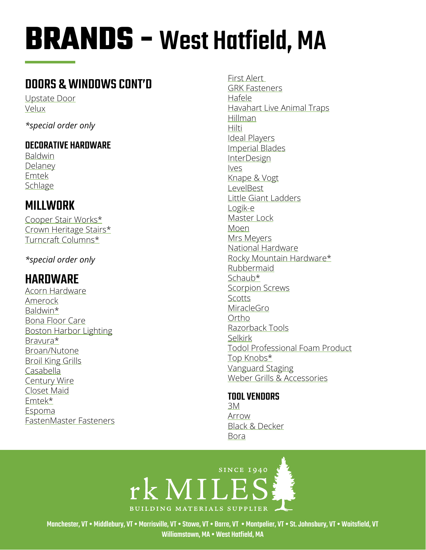## DOORS & WINDOWS CONT'D

[Upstate Door](http://www.upstatedoor.com/) [Velux](https://www.velux.com/)

*\*special order only*

### DECORATIVE HARDWARE

[Baldwin](http://www.baldwinhardware.com/home.aspx) [Delaney](https://delaneyhardware.com/) [Emtek](http://www.emtekproducts.com/) **[Schlage](https://www.schlage.com/en/home.html)** 

## MILLWORK

[Cooper Stair Works\\*](https://www.cooperstairworks.com/) [Crown Heritage Stairs\\*](http://crownheritage.com/Products) [Turncraft Columns\\*](https://turncraft.com/)

*\*special order only*

## HARDWARE

Acorn Hardware Amerock Baldwin\* Bona Floor Care Boston Harbor Lighting Bravura\* Broan/Nutone Broil King Grills Casabella Century Wire Closet Maid Emtek\* Espoma FastenMaster Fasteners

First Alert GRK Fasteners Hafele Havahart Live Animal Traps Hillman Hilti Ideal Players [Imperial Blades](https://imperialblades.com/) **InterDesign** Ives Knape & Vogt LevelBest Little Giant Ladders Logik-e Master Lock Moen Mrs Meyers National Hardware Rocky Mountain Hardware\* Rubbermaid Schaub\* Scorpion Screws Scotts **MiracleGro** Ortho Razorback Tools Selkirk Todol Professional Foam Product Top Knobs\* Vanguard Staging Weber Grills & Accessories

#### TOOL VENDORS

[3M](https://www.3m.com/) [Arrow](https://arrowfastener.com/) [Black & Decker](https://www.blackanddecker.com/) [Bora](https://boratool.com/)

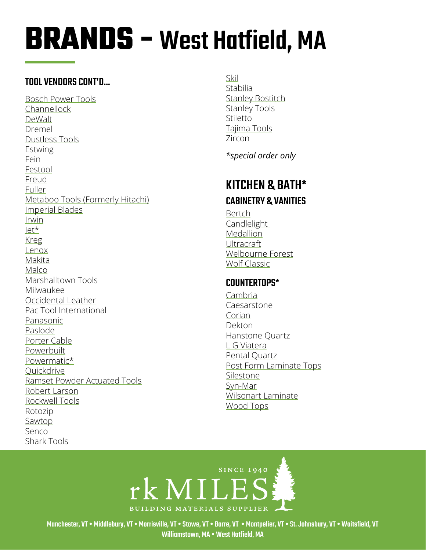#### TOOL VENDORS CONT'D...

[Bosch Power Tools](http://www.boschtools.com/products/tools/Pages/BoschProductCategory.aspx) [Channellock](https://www.channellock.com/) [DeWalt](https://www.dewalt.com/) [Dremel](https://www.dremel.com/en_US/homepage) [Dustless Tools](https://www.dustlesstools.com/) **[Estwing](https://www.estwing.com/)** [Fein](https://fein.com/en_us/) [Festool](http://www.festoolusa.com/default.aspx) [Freud](https://www.freudtools.com/) [Fuller](https://www.fullertool.com/) [Metaboo Tools \(Formerly Hitachi\)](https://www.metabo-hpt.com/) [Imperial Blades](http://www.imperialblades.com/) [Irwin](https://www.irwin.com/) [Jet\\*](https://www.jettools.com/us/en/home/) [Kreg](https://www.kregtool.com/) [Lenox](https://www.lenoxtools.com/Pages/Home.aspx) [Makita](https://www.makitatools.com/) [Malco](https://www.malcoproducts.com/) [Marshalltown Tools](https://marshalltown.com/) [Milwaukee](https://www.milwaukeetool.com/) [Occidental Leather](http://www.bestbelt.com/) [Pac Tool International](https://pactool.us/) [Panasonic](http://software/assembly-tools/?sc_mc=SEM_google_ai_PESNA_Assembly-Tools_product&aitrk=assemblytools-search&_aiid=11896&teng=go&beng=b&deng=c&keng=panasonic%20cordless%20tools&meng=e&peng=1t1&ieng=42335426795&kieng=kwd-303025130795&cieng=276576184019&cpieng=797726788&feng=&cleng=Cj0KCQjw6cHoBRDdARIsADiTTzbtoYZruUF0pUp2-2SfwyA0OGIRmccd6G9wxl4fH0uRNBAjUMc0-bsaAv2-EALw_wcB&utm_source=google&utm_medium=cpc&utm_campaign=AssemblyTools) [Paslode](https://www.paslode.com/) [Porter Cable](https://www.portercable.com/) **[Powerbuilt](https://www.powerbuilt.com/)** [Powermatic\\*](http://www.powermatic.com/us/en/home/) **Ouickdrive** [Ramset](https://www.ramset.com/) Powder Actuated Tools [Robert Larson](https://www.rlarson.com/) [Rockwell Tools](https://www.rockwelltools.com/us/default.aspx) [Rotozip](http://www.rotozip.com/) [Sawtop](https://www.sawstop.com/) [Senco](https://www.senco.com/default.aspx) [Shark Tools](https://www.sharkcorp.com/)

[Skil](https://www.skil.com/) [Stabilia](http://www.stabila.com/) [Stanley Bostitch](https://www.bostitch.com/) [Stanley Tools](https://www.stanleytools.com/) [Stiletto](http://www.stiletto.com/) [Tajima Tools](https://www.tajimatool.com/) [Zircon](https://www.zircon.com/)

*\*special order only*

## KITCHEN & BATH\* CABINETRY & VANITIES

[Bertch](https://www.bertch.com/) [Candlelight](https://www.candlelightcab.com/)  [Medallion](https://www.medallioncabinetry.com/) Ultracraft [Welbourne Forest](https://www.wellbornforest.com/) [Wolf](https://www.wolfhomeproducts.com/kitchencabinetry) Classic

#### COUNTERTOPS\*

[Cambria](https://www.cambriausa.com/) [Caesarstone](https://www.caesarstoneus.com/) [Corian](http://www.corian.com/) [Dekton](https://www.dekton.com/usa/countertops/) [Hanstone Quartz](https://www.hanstonequartz.com/) [L G Viatera](https://www.lghausysusa.com/viatera/index.do) [Pental Quartz](https://pentalquartz.com/) [Post Form Laminate Tops](https://www.norfolkkitchenandbath.com/products-services/counter-tops/laminate-countertops/postform-laminates/) [Silestone](https://www.silestoneusa.com/) [Syn-Mar](https://syn-marproducts.com/) [Wilsonart Laminate](https://www.wilsonart.com/) Wood Tops

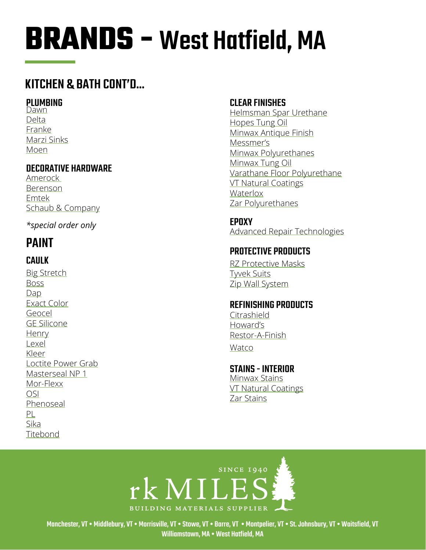### **KITCHEN & BATH CONT'D...**

#### **PLUMBING**

Dawn Delta Franke Marzi Sinks Moen

#### **DECORATIVE HARDWARE**

Amerock Berenson Emtek Schaub & Company

\*special order only

## **PAINT**

#### **CAULK**

**Big Stretch Boss**  $Dap$ **Exact Color** Geocel **GE Silicone** Henry Lexel Kleer Loctite Power Grab Masterseal NP 1 Mor-Flexx **OSI** Phenoseal  $PL$ Sika Titebond

#### **CLEAR FINISHES**

Helmsman Spar Urethane Hopes Tung Oil Minwax Antique Finish Messmer's Minwax Polyurethanes Minwax Tung Oil Varathane Floor Polyurethane **VT Natural Coatings** Waterlox Zar Polyurethanes

**EPOXY Advanced Repair Technologies** 

#### **PROTECTIVE PRODUCTS**

**RZ Protective Masks Twek Suits** Zip Wall System

#### **REFINISHING PRODUCTS**

Citrashield Howard's Restor-A-Finish

Watco

#### **STAINS - INTERIOR** Minwax Stains **VT Natural Coatings** Zar Stains